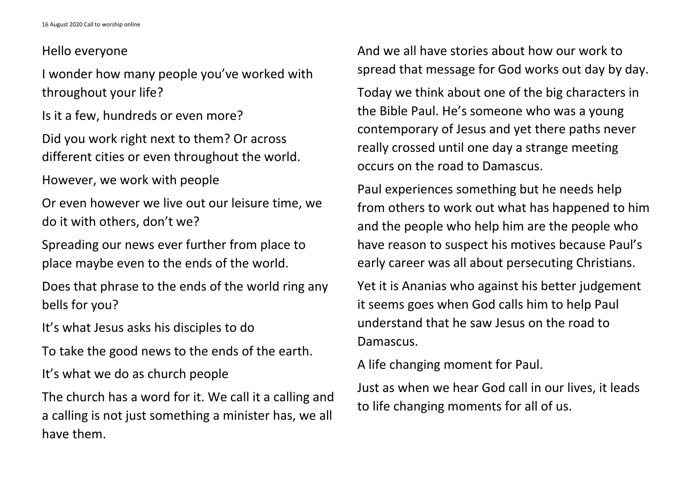## Hello everyone

I wonder how many people you've worked with throughout your life?

Is it a few, hundreds or even more?

Did you work right next to them? Or across different cities or even throughout the world.

However, we work with people

Or even however we live out our leisure time, we do it with others, don't we?

Spreading our news ever further from place to place maybe even to the ends of the world.

Does that phrase to the ends of the world ring any bells for you?

It's what Jesus asks his disciples to do

To take the good news to the ends of the earth.

It's what we do as church people

The church has a word for it. We call it a calling and a calling is not just something a minister has, we all have them.

And we all have stories about how our work to spread that message for God works out day by day.

Today we think about one of the big characters in the Bible Paul. He's someone who was a young contemporary of Jesus and yet there paths never really crossed until one day a strange meeting occurs on the road to Damascus.

Paul experiences something but he needs help from others to work out what has happened to him and the people who help him are the people who have reason to suspect his motives because Paul's early career was all about persecuting Christians.

Yet it is Ananias who against his better judgement it seems goes when God calls him to help Paul understand that he saw Jesus on the road to Damascus.

A life changing moment for Paul. Just as when we hear God call in our lives, it leads to life changing moments for all of us.

- 
- 
- 
- 
- 
-